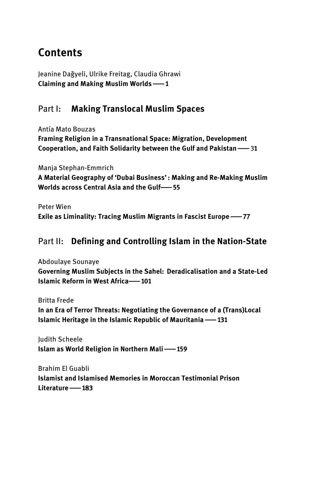## **Contents**

Jeanine Daǧyeli, Ulrike Freitag, Claudia Ghrawi  **Claiming and Making Muslim Worlds**|**1**

## Part I: **Making Translocal Muslim Spaces**

Antía Mato Bouzas  **Framing Religion in a Transnational Space: Migration, Development Cooperation, and Faith Solidarity between the Gulf and Pakistan**| 3**1**

Manja Stephan-Emmrich  **A Material Geography of 'Dubai Business' : Making and Re-Making Muslim Worlds across Central Asia and the Gulf**|**55**

Peter Wien  **Exile as Liminality: Tracing Muslim Migrants in Fascist Europe —77** 

## Part II: **Defining and Controlling Islam in the Nation-State**

Abdoulaye Sounaye  **Governing Muslim Subjects in the Sahel:  Deradicalisation and a State-Led Islamic Reform in West Africa-101** 

Britta Frede  **In an Era of Terror Threats: Negotiating the Governance of a (Trans)Local Islamic Heritage in the Islamic Republic of Mauritania**|**131**

Judith Scheele  **Islam as World Religion in Northern Mali**|**159**

Brahim El Guabli  **Islamist and Islamised Memories in Moroccan Testimonial Prison Literature**|**183**